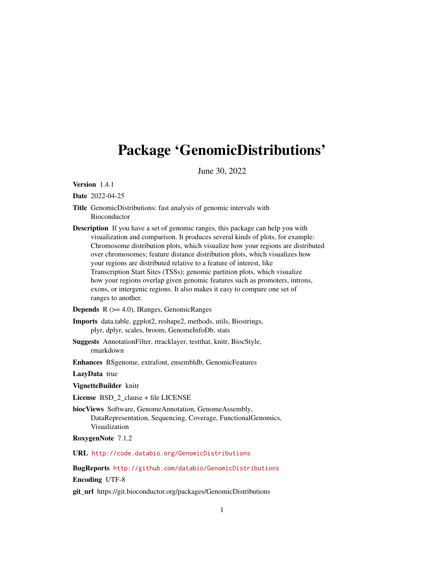## Package 'GenomicDistributions'

June 30, 2022

Version 1.4.1

Date 2022-04-25

- Title GenomicDistributions: fast analysis of genomic intervals with Bioconductor
- Description If you have a set of genomic ranges, this package can help you with visualization and comparison. It produces several kinds of plots, for example: Chromosome distribution plots, which visualize how your regions are distributed over chromosomes; feature distance distribution plots, which visualizes how your regions are distributed relative to a feature of interest, like Transcription Start Sites (TSSs); genomic partition plots, which visualize how your regions overlap given genomic features such as promoters, introns, exons, or intergenic regions. It also makes it easy to compare one set of ranges to another.

Depends R (>= 4.0), IRanges, GenomicRanges

Imports data.table, ggplot2, reshape2, methods, utils, Biostrings, plyr, dplyr, scales, broom, GenomeInfoDb, stats

- Suggests AnnotationFilter, rtracklayer, testthat, knitr, BiocStyle, rmarkdown
- Enhances BSgenome, extrafont, ensembldb, GenomicFeatures

LazyData true

VignetteBuilder knitr

License BSD\_2\_clause + file LICENSE

biocViews Software, GenomeAnnotation, GenomeAssembly, DataRepresentation, Sequencing, Coverage, FunctionalGenomics, Visualization

RoxygenNote 7.1.2

URL <http://code.databio.org/GenomicDistributions>

BugReports <http://github.com/databio/GenomicDistributions>

Encoding UTF-8

git\_url https://git.bioconductor.org/packages/GenomicDistributions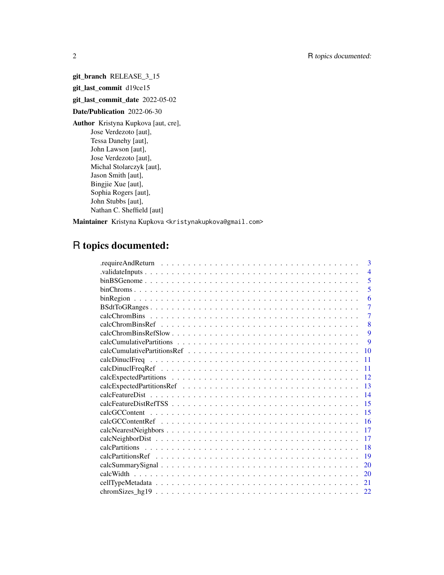git\_branch RELEASE\_3\_15

git\_last\_commit d19ce15

git\_last\_commit\_date 2022-05-02

Date/Publication 2022-06-30

Author Kristyna Kupkova [aut, cre], Jose Verdezoto [aut], Tessa Danehy [aut], John Lawson [aut], Jose Verdezoto [aut], Michal Stolarczyk [aut], Jason Smith [aut], Bingjie Xue [aut], Sophia Rogers [aut], John Stubbs [aut], Nathan C. Sheffield [aut]

Maintainer Kristyna Kupkova <kristynakupkova@gmail.com>

## R topics documented:

| 3              |
|----------------|
| $\overline{4}$ |
| 5              |
| 5              |
| 6              |
| $\overline{7}$ |
| $\overline{7}$ |
| 8              |
| 9              |
| 9              |
| 10             |
| 11             |
| 11             |
| 12             |
| 13             |
| 14             |
| 15             |
| 15             |
| 16             |
| 17             |
| 17             |
| 18             |
| 19             |
| 20             |
| 20             |
| 21             |
| 22             |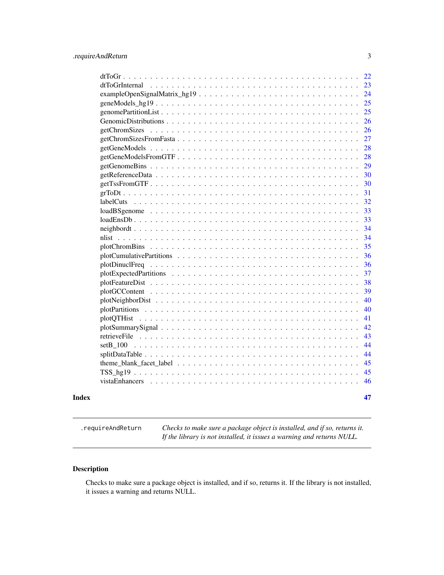<span id="page-2-0"></span>

|                                                                                                                     | 22 |
|---------------------------------------------------------------------------------------------------------------------|----|
|                                                                                                                     | 23 |
|                                                                                                                     | 24 |
|                                                                                                                     | 25 |
|                                                                                                                     | 25 |
|                                                                                                                     | 26 |
| getChromSizes                                                                                                       | 26 |
|                                                                                                                     | 27 |
|                                                                                                                     | 28 |
|                                                                                                                     | 28 |
|                                                                                                                     | 29 |
|                                                                                                                     | 30 |
|                                                                                                                     | 30 |
|                                                                                                                     | 31 |
|                                                                                                                     | 32 |
|                                                                                                                     | 33 |
|                                                                                                                     | 33 |
|                                                                                                                     | 34 |
|                                                                                                                     | 34 |
|                                                                                                                     | 35 |
|                                                                                                                     | 36 |
|                                                                                                                     | 36 |
|                                                                                                                     | 37 |
|                                                                                                                     | 38 |
|                                                                                                                     | 39 |
|                                                                                                                     | 40 |
|                                                                                                                     | 40 |
|                                                                                                                     | 41 |
|                                                                                                                     | 42 |
|                                                                                                                     | 43 |
|                                                                                                                     | 44 |
|                                                                                                                     | 44 |
| theme_blank_facet_label $\dots \dots \dots \dots \dots \dots \dots \dots \dots \dots \dots \dots \dots \dots \dots$ | 45 |
|                                                                                                                     | 45 |
|                                                                                                                     | 46 |
|                                                                                                                     | 47 |
|                                                                                                                     |    |

.requireAndReturn *Checks to make sure a package object is installed, and if so, returns it. If the library is not installed, it issues a warning and returns NULL.*

## Description

Checks to make sure a package object is installed, and if so, returns it. If the library is not installed, it issues a warning and returns NULL.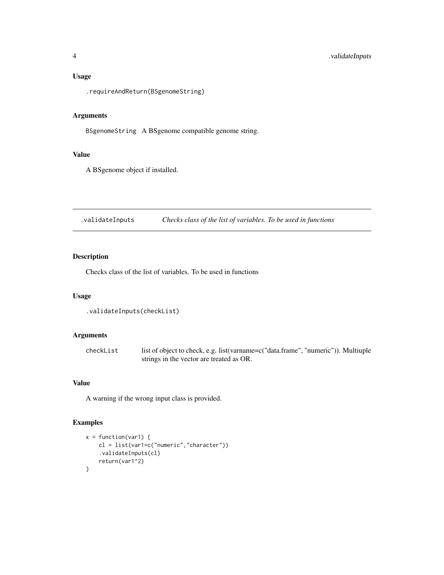#### <span id="page-3-0"></span>Usage

.requireAndReturn(BSgenomeString)

## Arguments

BSgenomeString A BSgenome compatible genome string.

#### Value

A BSgenome object if installed.

.validateInputs *Checks class of the list of variables. To be used in functions*

## Description

Checks class of the list of variables. To be used in functions

## Usage

```
.validateInputs(checkList)
```
## Arguments

checkList list of object to check, e.g. list(varname=c("data.frame", "numeric")). Multiuple strings in the vector are treated as OR.

## Value

A warning if the wrong input class is provided.

## Examples

```
x = function(var1) {
   cl = list(var1=c("numeric","character"))
    .validateInputs(cl)
   return(var1^2)
}
```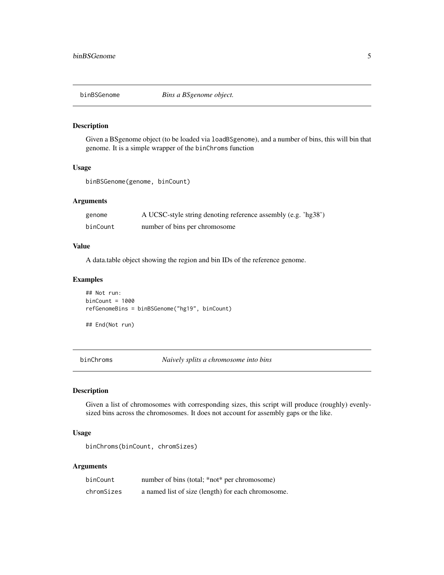<span id="page-4-0"></span>

#### Description

Given a BSgenome object (to be loaded via loadBSgenome), and a number of bins, this will bin that genome. It is a simple wrapper of the binChroms function

## Usage

```
binBSGenome(genome, binCount)
```
#### Arguments

| genome   | A UCSC-style string denoting reference assembly (e.g. 'hg38') |  |
|----------|---------------------------------------------------------------|--|
| binCount | number of bins per chromosome                                 |  |

#### Value

A data.table object showing the region and bin IDs of the reference genome.

## Examples

```
## Not run:
binCount = 1000refGenomeBins = binBSGenome("hg19", binCount)
```
## End(Not run)

binChroms *Naively splits a chromosome into bins*

## Description

Given a list of chromosomes with corresponding sizes, this script will produce (roughly) evenlysized bins across the chromosomes. It does not account for assembly gaps or the like.

#### Usage

```
binChroms(binCount, chromSizes)
```
#### Arguments

| binCount   | number of bins (total; *not* per chromosome)       |
|------------|----------------------------------------------------|
| chromSizes | a named list of size (length) for each chromosome. |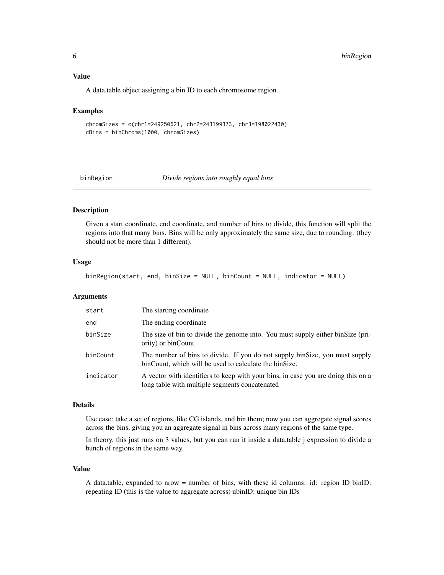#### <span id="page-5-0"></span>Value

A data.table object assigning a bin ID to each chromosome region.

#### Examples

```
chromSizes = c(chr1=249250621, chr2=243199373, chr3=198022430)
cBins = binChroms(1000, chromSizes)
```
binRegion *Divide regions into roughly equal bins*

## Description

Given a start coordinate, end coordinate, and number of bins to divide, this function will split the regions into that many bins. Bins will be only approximately the same size, due to rounding. (they should not be more than 1 different).

#### Usage

binRegion(start, end, binSize = NULL, binCount = NULL, indicator = NULL)

#### Arguments

| start     | The starting coordinate                                                                                                               |
|-----------|---------------------------------------------------------------------------------------------------------------------------------------|
| end       | The ending coordinate                                                                                                                 |
| binSize   | The size of bin to divide the genome into. You must supply either binsize (pri-<br>ority) or binCount.                                |
| binCount  | The number of bins to divide. If you do not supply binSize, you must supply<br>binCount, which will be used to calculate the binSize. |
| indicator | A vector with identifiers to keep with your bins, in case you are doing this on a<br>long table with multiple segments concatenated   |

#### Details

Use case: take a set of regions, like CG islands, and bin them; now you can aggregate signal scores across the bins, giving you an aggregate signal in bins across many regions of the same type.

In theory, this just runs on 3 values, but you can run it inside a data.table j expression to divide a bunch of regions in the same way.

#### Value

A data.table, expanded to nrow = number of bins, with these id columns: id: region ID binID: repeating ID (this is the value to aggregate across) ubinID: unique bin IDs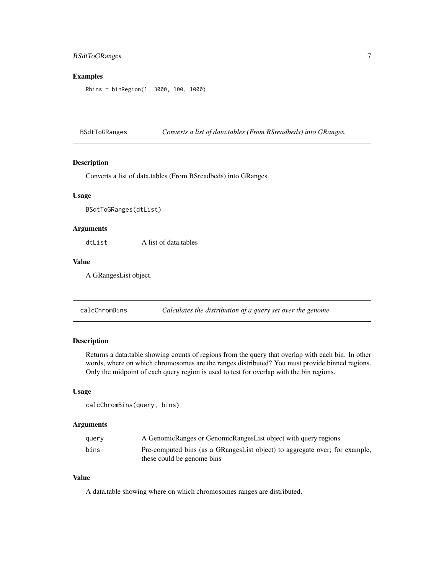## <span id="page-6-0"></span>BSdtToGRanges 7

#### Examples

Rbins = binRegion(1, 3000, 100, 1000)

BSdtToGRanges *Converts a list of data.tables (From BSreadbeds) into GRanges.*

#### Description

Converts a list of data.tables (From BSreadbeds) into GRanges.

## Usage

BSdtToGRanges(dtList)

## Arguments

dtList A list of data.tables

#### Value

A GRangesList object.

calcChromBins *Calculates the distribution of a query set over the genome*

#### Description

Returns a data.table showing counts of regions from the query that overlap with each bin. In other words, where on which chromosomes are the ranges distributed? You must provide binned regions. Only the midpoint of each query region is used to test for overlap with the bin regions.

#### Usage

```
calcChromBins(query, bins)
```
#### Arguments

| query | A GenomicRanges or GenomicRangesList object with query regions              |
|-------|-----------------------------------------------------------------------------|
| bins  | Pre-computed bins (as a GRangesList object) to aggregate over; for example, |
|       | these could be genome bins                                                  |

## Value

A data.table showing where on which chromosomes ranges are distributed.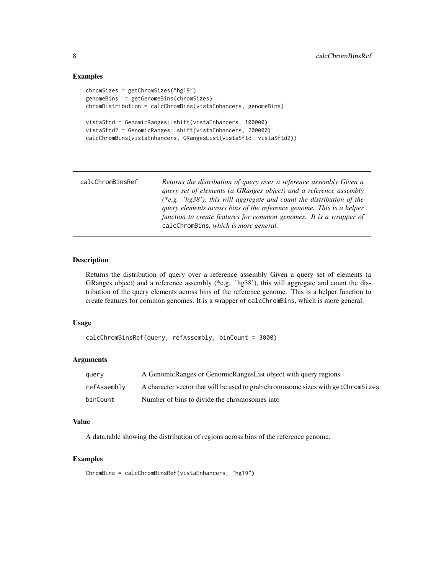#### Examples

```
chromSizes = getChromSizes("hg19")
genomeBins = getGenomeBins(chromSizes)
chromDistribution = calcChromBins(vistaEnhancers, genomeBins)
vistaSftd = GenomicRanges::shift(vistaEnhancers, 100000)
vistaSftd2 = GenomicRanges::shift(vistaEnhancers, 200000)
calcChromBins(vistaEnhancers, GRangesList(vistaSftd, vistaSftd2))
```

| calcChromBinsRef | Returns the distribution of query over a reference assembly Given a   |
|------------------|-----------------------------------------------------------------------|
|                  | query set of elements (a GRanges object) and a reference assembly     |
|                  | (*e.g. 'hg38'), this will aggregate and count the distribution of the |
|                  | query elements across bins of the reference genome. This is a helper  |
|                  | function to create features for common genomes. It is a wrapper of    |
|                  | calcChromBins, which is more general.                                 |

## Description

Returns the distribution of query over a reference assembly Given a query set of elements (a GRanges object) and a reference assembly (\*e.g. 'hg38'), this will aggregate and count the distribution of the query elements across bins of the reference genome. This is a helper function to create features for common genomes. It is a wrapper of calcChromBins, which is more general.

## Usage

```
calcChromBinsRef(query, refAssembly, binCount = 3000)
```
## Arguments

| query       | A Genomic Ranges or Genomic Ranges List object with query regions                |
|-------------|----------------------------------------------------------------------------------|
| refAssemblv | A character vector that will be used to grab chromosome sizes with getChromSizes |
| binCount    | Number of bins to divide the chromosomes into                                    |

#### Value

A data.table showing the distribution of regions across bins of the reference genome.

## Examples

ChromBins = calcChromBinsRef(vistaEnhancers, "hg19")

<span id="page-7-0"></span>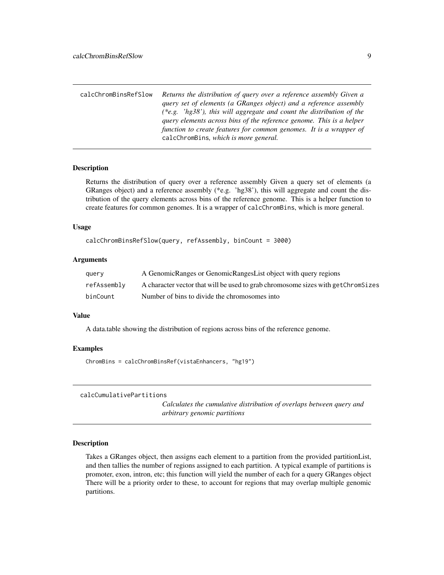<span id="page-8-0"></span>

| calcChromBinsRefSlow | Returns the distribution of query over a reference assembly Given a   |
|----------------------|-----------------------------------------------------------------------|
|                      | query set of elements (a GRanges object) and a reference assembly     |
|                      | (*e.g. 'hg38'), this will aggregate and count the distribution of the |
|                      | query elements across bins of the reference genome. This is a helper  |
|                      | function to create features for common genomes. It is a wrapper of    |
|                      | calcChromBins, which is more general.                                 |

#### Description

Returns the distribution of query over a reference assembly Given a query set of elements (a GRanges object) and a reference assembly (\*e.g. 'hg38'), this will aggregate and count the distribution of the query elements across bins of the reference genome. This is a helper function to create features for common genomes. It is a wrapper of calcChromBins, which is more general.

#### Usage

calcChromBinsRefSlow(query, refAssembly, binCount = 3000)

#### **Arguments**

| query       | A GenomicRanges or GenomicRangesList object with query regions                   |
|-------------|----------------------------------------------------------------------------------|
| refAssembly | A character vector that will be used to grab chromosome sizes with getChromSizes |
| binCount    | Number of bins to divide the chromosomes into                                    |

#### Value

A data.table showing the distribution of regions across bins of the reference genome.

#### Examples

ChromBins = calcChromBinsRef(vistaEnhancers, "hg19")

```
calcCumulativePartitions
```
*Calculates the cumulative distribution of overlaps between query and arbitrary genomic partitions*

## Description

Takes a GRanges object, then assigns each element to a partition from the provided partitionList, and then tallies the number of regions assigned to each partition. A typical example of partitions is promoter, exon, intron, etc; this function will yield the number of each for a query GRanges object There will be a priority order to these, to account for regions that may overlap multiple genomic partitions.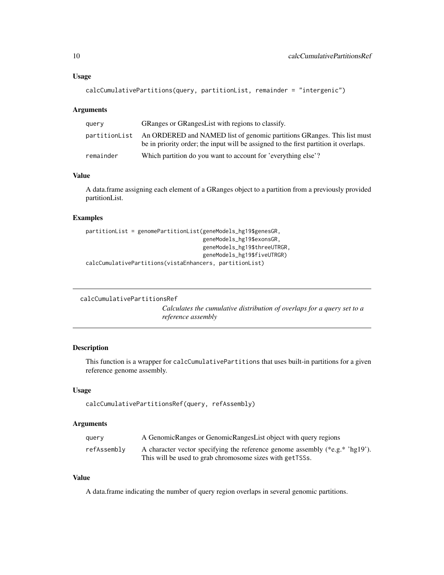#### <span id="page-9-0"></span>Usage

```
calcCumulativePartitions(query, partitionList, remainder = "intergenic")
```
#### Arguments

| query         | GRanges or GRanges List with regions to classify.                                                                                                               |
|---------------|-----------------------------------------------------------------------------------------------------------------------------------------------------------------|
| partitionList | An ORDERED and NAMED list of genomic partitions GRanges. This list must<br>be in priority order; the input will be assigned to the first partition it overlaps. |
| remainder     | Which partition do you want to account for 'everything else'?                                                                                                   |

## Value

A data.frame assigning each element of a GRanges object to a partition from a previously provided partitionList.

#### Examples

```
partitionList = genomePartitionList(geneModels_hg19$genesGR,
                                    geneModels_hg19$exonsGR,
                                    geneModels_hg19$threeUTRGR,
                                    geneModels_hg19$fiveUTRGR)
calcCumulativePartitions(vistaEnhancers, partitionList)
```

```
calcCumulativePartitionsRef
```
*Calculates the cumulative distribution of overlaps for a query set to a reference assembly*

## Description

This function is a wrapper for calcCumulativePartitions that uses built-in partitions for a given reference genome assembly.

## Usage

```
calcCumulativePartitionsRef(query, refAssembly)
```
## Arguments

| query       | A GenomicRanges or GenomicRangesList object with query regions                   |
|-------------|----------------------------------------------------------------------------------|
| refAssemblv | A character vector specifying the reference genome assembly (*e.g.* $\log 19$ ). |
|             | This will be used to grab chromosome sizes with get TSSs.                        |

## Value

A data.frame indicating the number of query region overlaps in several genomic partitions.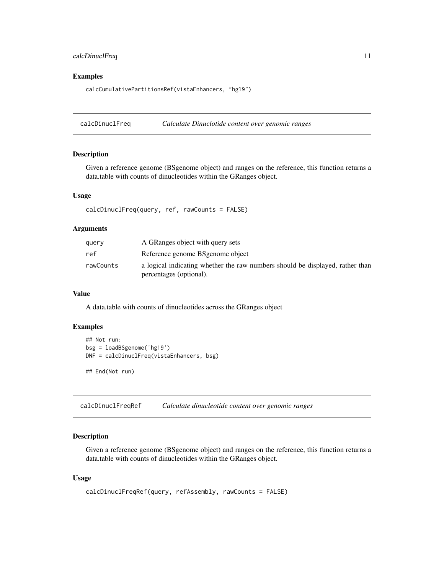## <span id="page-10-0"></span>calcDinuclFreq 11

#### Examples

calcCumulativePartitionsRef(vistaEnhancers, "hg19")

calcDinuclFreq *Calculate Dinuclotide content over genomic ranges*

#### Description

Given a reference genome (BSgenome object) and ranges on the reference, this function returns a data.table with counts of dinucleotides within the GRanges object.

#### Usage

```
calcDinuclFreq(query, ref, rawCounts = FALSE)
```
## Arguments

| querv     | A GRanges object with query sets                                                                         |
|-----------|----------------------------------------------------------------------------------------------------------|
| ref       | Reference genome BS genome object                                                                        |
| rawCounts | a logical indicating whether the raw numbers should be displayed, rather than<br>percentages (optional). |

#### Value

A data.table with counts of dinucleotides across the GRanges object

## Examples

```
## Not run:
bsg = loadBSgenome('hg19')
DNF = calcDinuclFreq(vistaEnhancers, bsg)
## End(Not run)
```
calcDinuclFreqRef *Calculate dinucleotide content over genomic ranges*

## Description

Given a reference genome (BSgenome object) and ranges on the reference, this function returns a data.table with counts of dinucleotides within the GRanges object.

```
calcDinuclFreqRef(query, refAssembly, rawCounts = FALSE)
```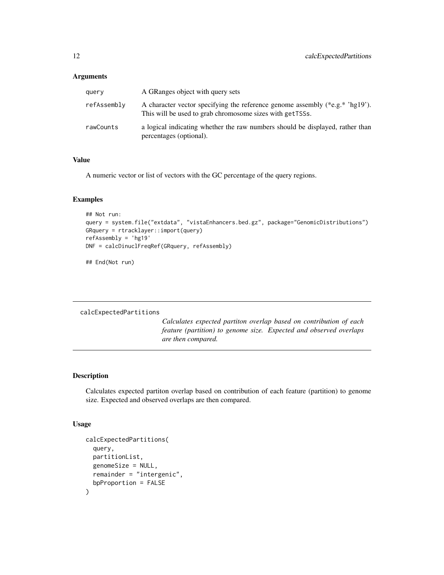<span id="page-11-0"></span>

| query       | A GRanges object with query sets                                                                                                          |
|-------------|-------------------------------------------------------------------------------------------------------------------------------------------|
| refAssembly | A character vector specifying the reference genome assembly (*e.g.* 'hg19').<br>This will be used to grab chromosome sizes with get TSSs. |
| rawCounts   | a logical indicating whether the raw numbers should be displayed, rather than<br>percentages (optional).                                  |

## Value

A numeric vector or list of vectors with the GC percentage of the query regions.

## Examples

```
## Not run:
query = system.file("extdata", "vistaEnhancers.bed.gz", package="GenomicDistributions")
GRquery = rtracklayer::import(query)
refAssembly = 'hg19'
DNF = calcDinuclFreqRef(GRquery, refAssembly)
```
## End(Not run)

#### calcExpectedPartitions

*Calculates expected partiton overlap based on contribution of each feature (partition) to genome size. Expected and observed overlaps are then compared.*

## Description

Calculates expected partiton overlap based on contribution of each feature (partition) to genome size. Expected and observed overlaps are then compared.

```
calcExpectedPartitions(
  query,
  partitionList,
  genomeSize = NULL,
  remainder = "intergenic",
  bpProportion = FALSE
\mathcal{E}
```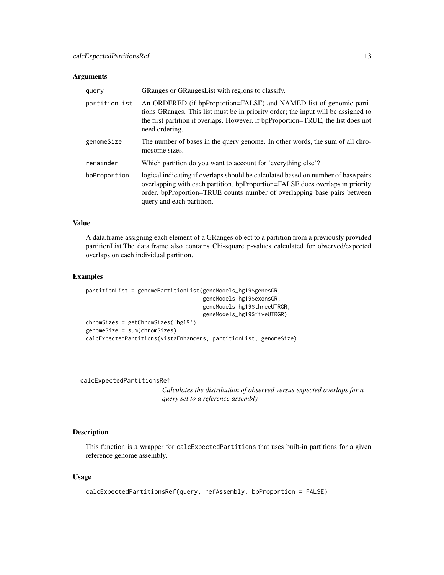<span id="page-12-0"></span>

| query         | GRanges or GRanges List with regions to classify.                                                                                                                                                                                                                           |
|---------------|-----------------------------------------------------------------------------------------------------------------------------------------------------------------------------------------------------------------------------------------------------------------------------|
| partitionList | An ORDERED (if bpProportion=FALSE) and NAMED list of genomic parti-<br>tions GRanges. This list must be in priority order; the input will be assigned to<br>the first partition it overlaps. However, if bpProportion=TRUE, the list does not<br>need ordering.             |
| genomeSize    | The number of bases in the query genome. In other words, the sum of all chro-<br>mosome sizes.                                                                                                                                                                              |
| remainder     | Which partition do you want to account for 'everything else'?                                                                                                                                                                                                               |
| bpProportion  | logical indicating if overlaps should be calculated based on number of base pairs<br>overlapping with each partition. bpProportion=FALSE does overlaps in priority<br>order, bpProportion=TRUE counts number of overlapping base pairs between<br>query and each partition. |

#### Value

A data.frame assigning each element of a GRanges object to a partition from a previously provided partitionList.The data.frame also contains Chi-square p-values calculated for observed/expected overlaps on each individual partition.

#### Examples

```
partitionList = genomePartitionList(geneModels_hg19$genesGR,
                                    geneModels_hg19$exonsGR,
                                    geneModels_hg19$threeUTRGR,
                                    geneModels_hg19$fiveUTRGR)
chromSizes = getChromSizes('hg19')
genomeSize = sum(chromSizes)
calcExpectedPartitions(vistaEnhancers, partitionList, genomeSize)
```
calcExpectedPartitionsRef

*Calculates the distribution of observed versus expected overlaps for a query set to a reference assembly*

## Description

This function is a wrapper for calcExpectedPartitions that uses built-in partitions for a given reference genome assembly.

```
calcExpectedPartitionsRef(query, refAssembly, bpProportion = FALSE)
```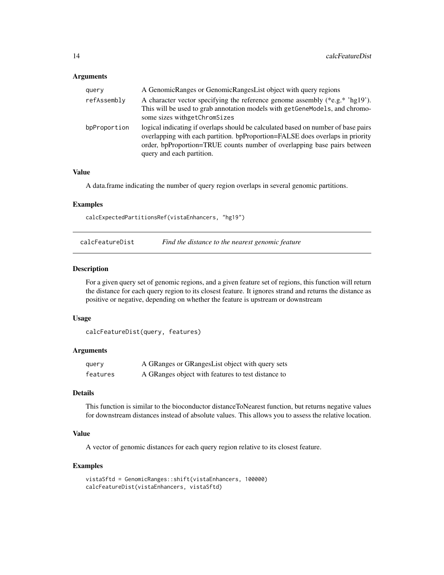<span id="page-13-0"></span>

| query        | A GenomicRanges or GenomicRangesList object with query regions                                                                                                                                                                                                              |
|--------------|-----------------------------------------------------------------------------------------------------------------------------------------------------------------------------------------------------------------------------------------------------------------------------|
| refAssembly  | A character vector specifying the reference genome assembly $(*e.g. * 'hg19')$ .<br>This will be used to grab annotation models with getGeneModels, and chromo-<br>some sizes withgetChromSizes                                                                             |
| bpProportion | logical indicating if overlaps should be calculated based on number of base pairs<br>overlapping with each partition. bpProportion=FALSE does overlaps in priority<br>order, bpProportion=TRUE counts number of overlapping base pairs between<br>query and each partition. |

## Value

A data.frame indicating the number of query region overlaps in several genomic partitions.

#### Examples

calcExpectedPartitionsRef(vistaEnhancers, "hg19")

calcFeatureDist *Find the distance to the nearest genomic feature*

### Description

For a given query set of genomic regions, and a given feature set of regions, this function will return the distance for each query region to its closest feature. It ignores strand and returns the distance as positive or negative, depending on whether the feature is upstream or downstream

#### Usage

```
calcFeatureDist(query, features)
```
#### Arguments

| query    | A GRanges or GRanges List object with query sets   |
|----------|----------------------------------------------------|
| features | A GRanges object with features to test distance to |

#### Details

This function is similar to the bioconductor distanceToNearest function, but returns negative values for downstream distances instead of absolute values. This allows you to assess the relative location.

## Value

A vector of genomic distances for each query region relative to its closest feature.

#### Examples

```
vistaSftd = GenomicRanges::shift(vistaEnhancers, 100000)
calcFeatureDist(vistaEnhancers, vistaSftd)
```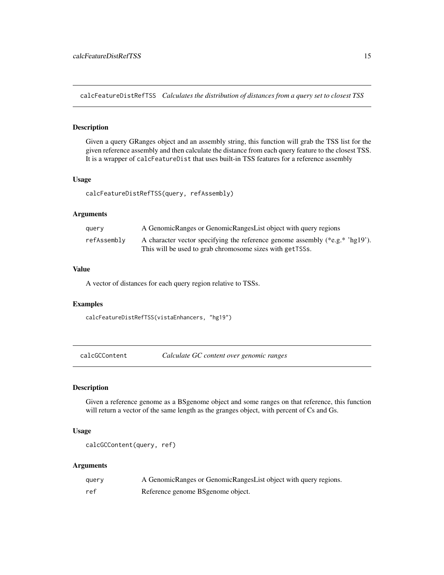<span id="page-14-0"></span>calcFeatureDistRefTSS *Calculates the distribution of distances from a query set to closest TSS*

## Description

Given a query GRanges object and an assembly string, this function will grab the TSS list for the given reference assembly and then calculate the distance from each query feature to the closest TSS. It is a wrapper of calcFeatureDist that uses built-in TSS features for a reference assembly

## Usage

calcFeatureDistRefTSS(query, refAssembly)

#### **Arguments**

| query       | A GenomicRanges or GenomicRangesList object with query regions                                                                                |
|-------------|-----------------------------------------------------------------------------------------------------------------------------------------------|
| refAssemblv | A character vector specifying the reference genome assembly (*e.g.* $\log 19$ ).<br>This will be used to grab chromosome sizes with get TSSs. |

## Value

A vector of distances for each query region relative to TSSs.

#### Examples

calcFeatureDistRefTSS(vistaEnhancers, "hg19")

calcGCContent *Calculate GC content over genomic ranges*

## Description

Given a reference genome as a BSgenome object and some ranges on that reference, this function will return a vector of the same length as the granges object, with percent of Cs and Gs.

#### Usage

calcGCContent(query, ref)

#### Arguments

| query | A GenomicRanges or GenomicRangesList object with query regions. |
|-------|-----------------------------------------------------------------|
| ref   | Reference genome BS genome object.                              |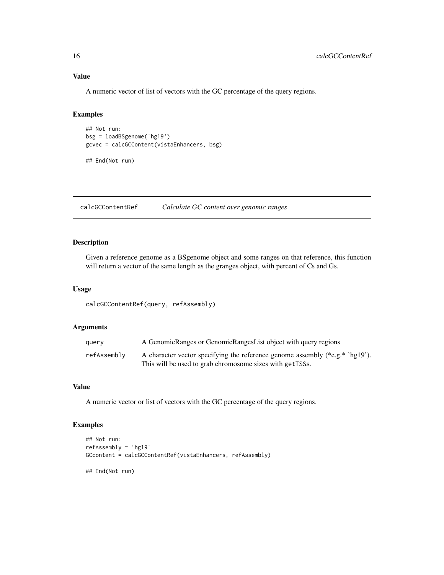## Value

A numeric vector of list of vectors with the GC percentage of the query regions.

## Examples

```
## Not run:
bsg = loadBSgenome('hg19')
gcvec = calcGCContent(vistaEnhancers, bsg)
```
## End(Not run)

calcGCContentRef *Calculate GC content over genomic ranges*

## Description

Given a reference genome as a BSgenome object and some ranges on that reference, this function will return a vector of the same length as the granges object, with percent of Cs and Gs.

#### Usage

calcGCContentRef(query, refAssembly)

## Arguments

| query       | A GenomicRanges or GenomicRangesList object with query regions                   |
|-------------|----------------------------------------------------------------------------------|
| refAssembly | A character vector specifying the reference genome assembly (*e.g.* $\log 19$ ). |
|             | This will be used to grab chromosome sizes with getTSSs.                         |

## Value

A numeric vector or list of vectors with the GC percentage of the query regions.

#### Examples

```
## Not run:
refAssembly = 'hg19'
GCcontent = calcGCContentRef(vistaEnhancers, refAssembly)
## End(Not run)
```
<span id="page-15-0"></span>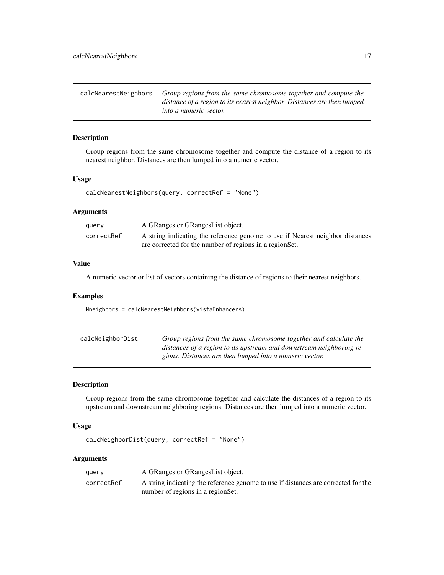<span id="page-16-0"></span>

| calcNearestNeighbors | Group regions from the same chromosome together and compute the         |
|----------------------|-------------------------------------------------------------------------|
|                      | distance of a region to its nearest neighbor. Distances are then lumped |
|                      | <i>into a numeric vector.</i>                                           |

#### Description

Group regions from the same chromosome together and compute the distance of a region to its nearest neighbor. Distances are then lumped into a numeric vector.

### Usage

```
calcNearestNeighbors(query, correctRef = "None")
```
## Arguments

| query      | A GRanges or GRanges List object.                                                                                                         |
|------------|-------------------------------------------------------------------------------------------------------------------------------------------|
| correctRef | A string indicating the reference genome to use if Nearest neighbor distances<br>are corrected for the number of regions in a region Set. |

## Value

A numeric vector or list of vectors containing the distance of regions to their nearest neighbors.

#### Examples

Nneighbors = calcNearestNeighbors(vistaEnhancers)

| calcNeighborDist | Group regions from the same chromosome together and calculate the    |
|------------------|----------------------------------------------------------------------|
|                  | distances of a region to its upstream and downstream neighboring re- |
|                  | gions. Distances are then lumped into a numeric vector.              |

#### Description

Group regions from the same chromosome together and calculate the distances of a region to its upstream and downstream neighboring regions. Distances are then lumped into a numeric vector.

#### Usage

```
calcNeighborDist(query, correctRef = "None")
```
#### Arguments

| query      | A GRanges or GRanges List object.                                                  |
|------------|------------------------------------------------------------------------------------|
| correctRef | A string indicating the reference genome to use if distances are corrected for the |
|            | number of regions in a regionSet.                                                  |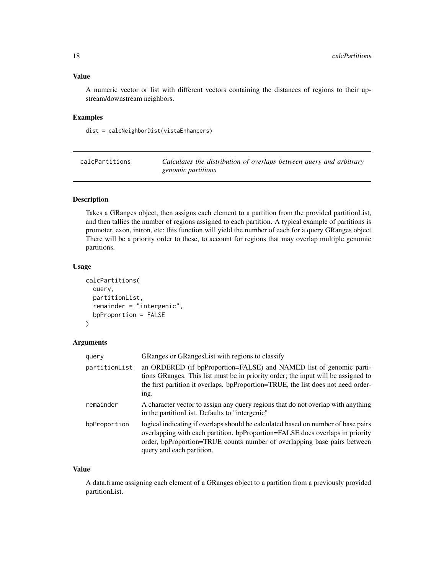#### <span id="page-17-0"></span>Value

A numeric vector or list with different vectors containing the distances of regions to their upstream/downstream neighbors.

## Examples

dist = calcNeighborDist(vistaEnhancers)

| calcPartitions | Calculates the distribution of overlaps between query and arbitrary |
|----------------|---------------------------------------------------------------------|
|                | <i>genomic partitions</i>                                           |

## Description

Takes a GRanges object, then assigns each element to a partition from the provided partitionList, and then tallies the number of regions assigned to each partition. A typical example of partitions is promoter, exon, intron, etc; this function will yield the number of each for a query GRanges object There will be a priority order to these, to account for regions that may overlap multiple genomic partitions.

#### Usage

```
calcPartitions(
  query,
 partitionList,
  remainder = "intergenic",
  bpProportion = FALSE
)
```
## Arguments

| query         | GRanges or GRanges List with regions to classify                                                                                                                                                                                                                            |
|---------------|-----------------------------------------------------------------------------------------------------------------------------------------------------------------------------------------------------------------------------------------------------------------------------|
| partitionList | an ORDERED (if bpProportion=FALSE) and NAMED list of genomic parti-<br>tions GRanges. This list must be in priority order; the input will be assigned to<br>the first partition it overlaps. bpProportion=TRUE, the list does not need order-<br>ing.                       |
| remainder     | A character vector to assign any query regions that do not overlap with anything<br>in the partition List. Defaults to "intergenic"                                                                                                                                         |
| bpProportion  | logical indicating if overlaps should be calculated based on number of base pairs<br>overlapping with each partition. bpProportion=FALSE does overlaps in priority<br>order, bpProportion=TRUE counts number of overlapping base pairs between<br>query and each partition. |

#### Value

A data.frame assigning each element of a GRanges object to a partition from a previously provided partitionList.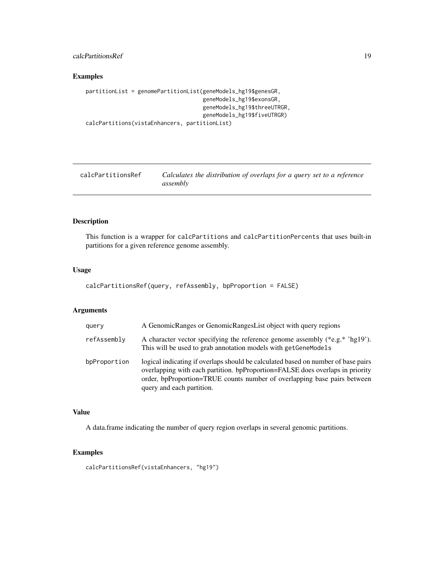## <span id="page-18-0"></span>calcPartitionsRef 19

## Examples

```
partitionList = genomePartitionList(geneModels_hg19$genesGR,
                                    geneModels_hg19$exonsGR,
                                    geneModels_hg19$threeUTRGR,
                                    geneModels_hg19$fiveUTRGR)
calcPartitions(vistaEnhancers, partitionList)
```

| calcPartitionsRef | Calculates the distribution of overlaps for a query set to a reference |
|-------------------|------------------------------------------------------------------------|
|                   | assembly                                                               |

## Description

This function is a wrapper for calcPartitions and calcPartitionPercents that uses built-in partitions for a given reference genome assembly.

#### Usage

```
calcPartitionsRef(query, refAssembly, bpProportion = FALSE)
```
#### Arguments

| query        | A GenomicRanges or GenomicRangesList object with query regions                                                                                                                                                                                                              |
|--------------|-----------------------------------------------------------------------------------------------------------------------------------------------------------------------------------------------------------------------------------------------------------------------------|
| refAssembly  | A character vector specifying the reference genome assembly $(*e.g. * 'hg19')$ .<br>This will be used to grab annotation models with get Gene Models                                                                                                                        |
| bpProportion | logical indicating if overlaps should be calculated based on number of base pairs<br>overlapping with each partition. bpProportion=FALSE does overlaps in priority<br>order, bpProportion=TRUE counts number of overlapping base pairs between<br>query and each partition. |

## Value

A data.frame indicating the number of query region overlaps in several genomic partitions.

#### Examples

```
calcPartitionsRef(vistaEnhancers, "hg19")
```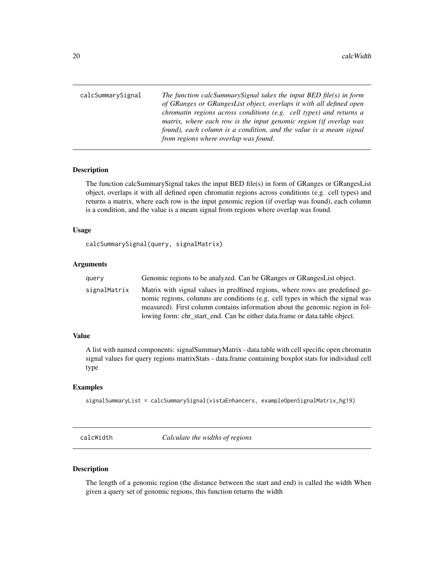<span id="page-19-0"></span>calcSummarySignal *The function calcSummarySignal takes the input BED file(s) in form of GRanges or GRangesList object, overlaps it with all defined open chromatin regions across conditions (e.g. cell types) and returns a matrix, where each row is the input genomic region (if overlap was found), each column is a condition, and the value is a meam signal from regions where overlap was found.*

#### Description

The function calcSummarySignal takes the input BED file(s) in form of GRanges or GRangesList object, overlaps it with all defined open chromatin regions across conditions (e.g. cell types) and returns a matrix, where each row is the input genomic region (if overlap was found), each column is a condition, and the value is a meam signal from regions where overlap was found.

#### Usage

calcSummarySignal(query, signalMatrix)

#### Arguments

| query        | Genomic regions to be analyzed. Can be GRanges or GRanges List object.                                                                                                                                                                                                                                                         |
|--------------|--------------------------------------------------------------------------------------------------------------------------------------------------------------------------------------------------------------------------------------------------------------------------------------------------------------------------------|
| signalMatrix | Matrix with signal values in predfined regions, where rows are predefined ge-<br>nomic regions, columns are conditions (e.g. cell types in which the signal was<br>measured). First column contains information about the genomic region in fol-<br>lowing form: chr start end. Can be either data.frame or data.table object. |

## Value

A list with named components: signalSummaryMatrix - data.table with cell specific open chromatin signal values for query regions matrixStats - data.frame containing boxplot stats for individual cell type

#### Examples

signalSummaryList = calcSummarySignal(vistaEnhancers, exampleOpenSignalMatrix\_hg19)

calcWidth *Calculate the widths of regions*

## Description

The length of a genomic region (the distance between the start and end) is called the width When given a query set of genomic regions, this function returns the width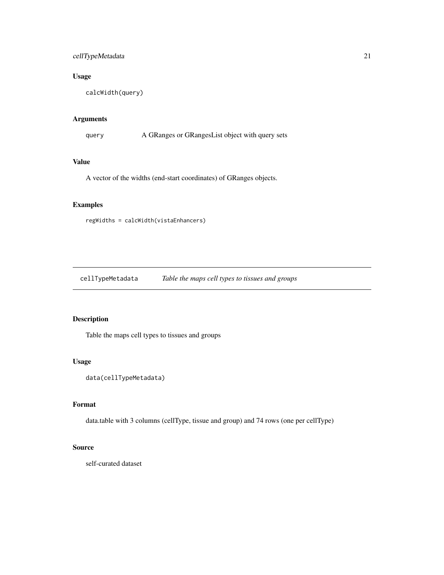## <span id="page-20-0"></span>cellTypeMetadata 21

## Usage

```
calcWidth(query)
```
## Arguments

query A GRanges or GRangesList object with query sets

## Value

A vector of the widths (end-start coordinates) of GRanges objects.

## Examples

```
regWidths = calcWidth(vistaEnhancers)
```
cellTypeMetadata *Table the maps cell types to tissues and groups*

## Description

Table the maps cell types to tissues and groups

#### Usage

```
data(cellTypeMetadata)
```
## Format

data.table with 3 columns (cellType, tissue and group) and 74 rows (one per cellType)

## Source

self-curated dataset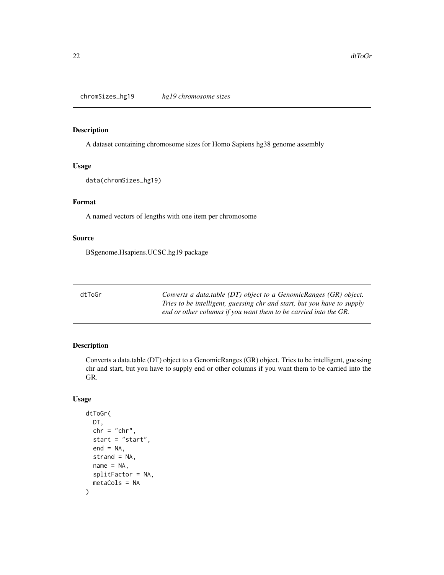<span id="page-21-0"></span>chromSizes\_hg19 *hg19 chromosome sizes*

## Description

A dataset containing chromosome sizes for Homo Sapiens hg38 genome assembly

#### Usage

data(chromSizes\_hg19)

## Format

A named vectors of lengths with one item per chromosome

## Source

BSgenome.Hsapiens.UCSC.hg19 package

| dtToGr | Converts a data.table (DT) object to a GenomicRanges (GR) object.       |
|--------|-------------------------------------------------------------------------|
|        | Tries to be intelligent, guessing chr and start, but you have to supply |
|        | end or other columns if you want them to be carried into the GR.        |

## Description

Converts a data.table (DT) object to a GenomicRanges (GR) object. Tries to be intelligent, guessing chr and start, but you have to supply end or other columns if you want them to be carried into the GR.

```
dtToGr(
 DT,
  chr = "chr",start = "start",
  end = NA,
  strand = NA,
 name = NA,
  splitFactor = NA,
  metaCols = NA
)
```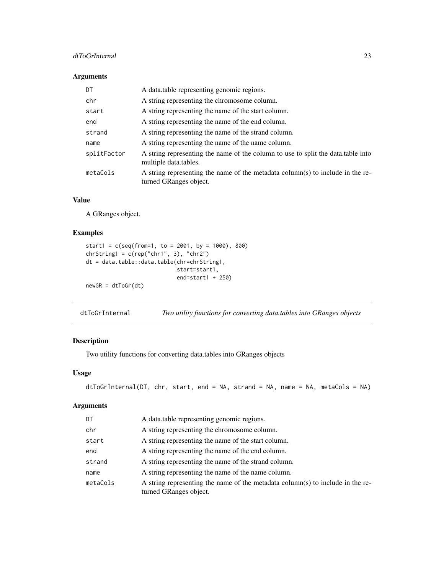## <span id="page-22-0"></span>dtToGrInternal 23

## Arguments

| DT          | A data.table representing genomic regions.                                                                |
|-------------|-----------------------------------------------------------------------------------------------------------|
| chr         | A string representing the chromosome column.                                                              |
| start       | A string representing the name of the start column.                                                       |
| end         | A string representing the name of the end column.                                                         |
| strand      | A string representing the name of the strand column.                                                      |
| name        | A string representing the name of the name column.                                                        |
| splitFactor | A string representing the name of the column to use to split the data table into<br>multiple data.tables. |
| metaCols    | A string representing the name of the metadata column(s) to include in the re-<br>turned GRanges object.  |

## Value

A GRanges object.

## Examples

```
start1 = c(\text{seq}(\text{from=1}, \text{ to = } 2001, \text{ by = } 1000), 800)chrString1 = c(rep("chr1", 3), "chr2")
dt = data.table::data.table(chr=chrString1,
                                start=start1,
                                end=start1 + 250)
newGR = dtToGr(dt)
```
dtToGrInternal *Two utility functions for converting data.tables into GRanges objects*

## Description

Two utility functions for converting data.tables into GRanges objects

## Usage

```
dtToGrInternal(DT, chr, start, end = NA, strand = NA, name = NA, metaCols = NA)
```
## Arguments

| DT       | A data table representing genomic regions.                                                               |
|----------|----------------------------------------------------------------------------------------------------------|
| chr      | A string representing the chromosome column.                                                             |
| start    | A string representing the name of the start column.                                                      |
| end      | A string representing the name of the end column.                                                        |
| strand   | A string representing the name of the strand column.                                                     |
| name     | A string representing the name of the name column.                                                       |
| metaCols | A string representing the name of the metadata column(s) to include in the re-<br>turned GRanges object. |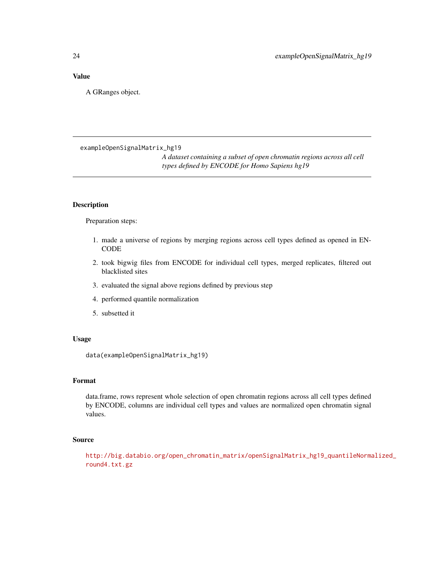## <span id="page-23-0"></span>Value

A GRanges object.

exampleOpenSignalMatrix\_hg19

*A dataset containing a subset of open chromatin regions across all cell types defined by ENCODE for Homo Sapiens hg19*

#### Description

Preparation steps:

- 1. made a universe of regions by merging regions across cell types defined as opened in EN-CODE
- 2. took bigwig files from ENCODE for individual cell types, merged replicates, filtered out blacklisted sites
- 3. evaluated the signal above regions defined by previous step
- 4. performed quantile normalization
- 5. subsetted it

## Usage

data(exampleOpenSignalMatrix\_hg19)

## Format

data.frame, rows represent whole selection of open chromatin regions across all cell types defined by ENCODE, columns are individual cell types and values are normalized open chromatin signal values.

## Source

[http://big.databio.org/open\\_chromatin\\_matrix/openSignalMatrix\\_hg19\\_quantileNorma](http://big.databio.org/open_chromatin_matrix/openSignalMatrix_hg19_quantileNormalized_round4.txt.gz)lized\_ [round4.txt.gz](http://big.databio.org/open_chromatin_matrix/openSignalMatrix_hg19_quantileNormalized_round4.txt.gz)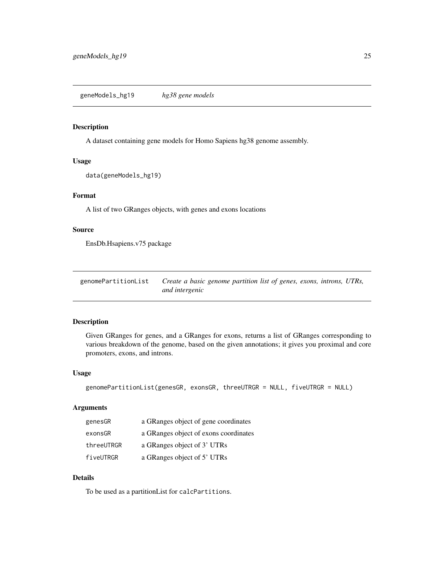## <span id="page-24-0"></span>Description

A dataset containing gene models for Homo Sapiens hg38 genome assembly.

## Usage

```
data(geneModels_hg19)
```
## Format

A list of two GRanges objects, with genes and exons locations

#### Source

EnsDb.Hsapiens.v75 package

| genomePartitionList | Create a basic genome partition list of genes, exons, introns, UTRs, |  |
|---------------------|----------------------------------------------------------------------|--|
|                     | and intergenic                                                       |  |

#### Description

Given GRanges for genes, and a GRanges for exons, returns a list of GRanges corresponding to various breakdown of the genome, based on the given annotations; it gives you proximal and core promoters, exons, and introns.

#### Usage

```
genomePartitionList(genesGR, exonsGR, threeUTRGR = NULL, fiveUTRGR = NULL)
```
## Arguments

| genesGR    | a GRanges object of gene coordinates  |
|------------|---------------------------------------|
| exonsGR    | a GRanges object of exons coordinates |
| threeUTRGR | a GRanges object of 3' UTRs           |
| fiveUTRGR  | a GRanges object of 5' UTRs           |

## Details

To be used as a partitionList for calcPartitions.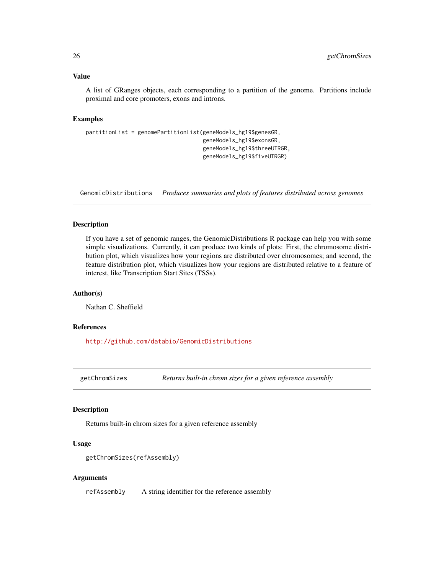#### <span id="page-25-0"></span>Value

A list of GRanges objects, each corresponding to a partition of the genome. Partitions include proximal and core promoters, exons and introns.

## Examples

```
partitionList = genomePartitionList(geneModels_hg19$genesGR,
                                    geneModels_hg19$exonsGR,
                                    geneModels_hg19$threeUTRGR,
                                    geneModels_hg19$fiveUTRGR)
```
GenomicDistributions *Produces summaries and plots of features distributed across genomes*

#### Description

If you have a set of genomic ranges, the GenomicDistributions R package can help you with some simple visualizations. Currently, it can produce two kinds of plots: First, the chromosome distribution plot, which visualizes how your regions are distributed over chromosomes; and second, the feature distribution plot, which visualizes how your regions are distributed relative to a feature of interest, like Transcription Start Sites (TSSs).

#### Author(s)

Nathan C. Sheffield

### References

<http://github.com/databio/GenomicDistributions>

getChromSizes *Returns built-in chrom sizes for a given reference assembly*

#### Description

Returns built-in chrom sizes for a given reference assembly

## Usage

```
getChromSizes(refAssembly)
```
#### Arguments

refAssembly A string identifier for the reference assembly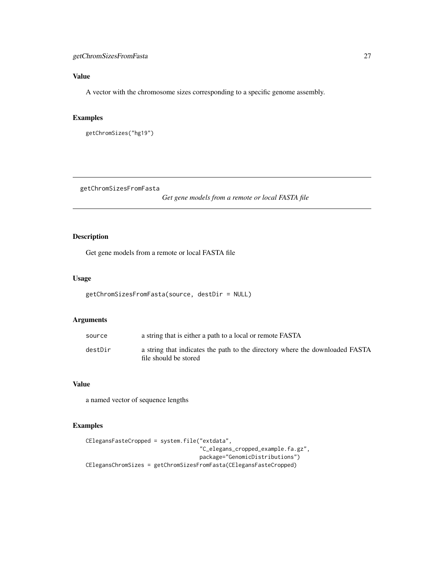## <span id="page-26-0"></span>getChromSizesFromFasta 27

## Value

A vector with the chromosome sizes corresponding to a specific genome assembly.

## Examples

```
getChromSizes("hg19")
```
getChromSizesFromFasta

*Get gene models from a remote or local FASTA file*

## Description

Get gene models from a remote or local FASTA file

#### Usage

```
getChromSizesFromFasta(source, destDir = NULL)
```
## Arguments

| source  | a string that is either a path to a local or remote FASTA                                             |
|---------|-------------------------------------------------------------------------------------------------------|
| destDir | a string that indicates the path to the directory where the downloaded FASTA<br>file should be stored |

## Value

a named vector of sequence lengths

## Examples

```
CElegansFasteCropped = system.file("extdata",
                                   "C_elegans_cropped_example.fa.gz",
                                   package="GenomicDistributions")
CElegansChromSizes = getChromSizesFromFasta(CElegansFasteCropped)
```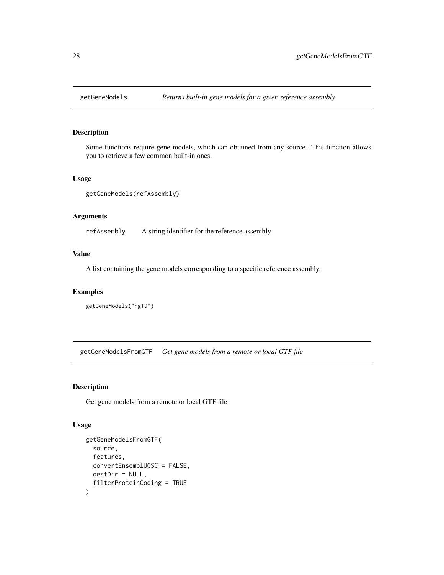<span id="page-27-0"></span>

## Description

Some functions require gene models, which can obtained from any source. This function allows you to retrieve a few common built-in ones.

### Usage

```
getGeneModels(refAssembly)
```
#### Arguments

refAssembly A string identifier for the reference assembly

## Value

A list containing the gene models corresponding to a specific reference assembly.

## Examples

getGeneModels("hg19")

getGeneModelsFromGTF *Get gene models from a remote or local GTF file*

## Description

Get gene models from a remote or local GTF file

```
getGeneModelsFromGTF(
  source,
  features,
  convertEnsemblUCSC = FALSE,
  destDir = NULL,
  filterProteinCoding = TRUE
)
```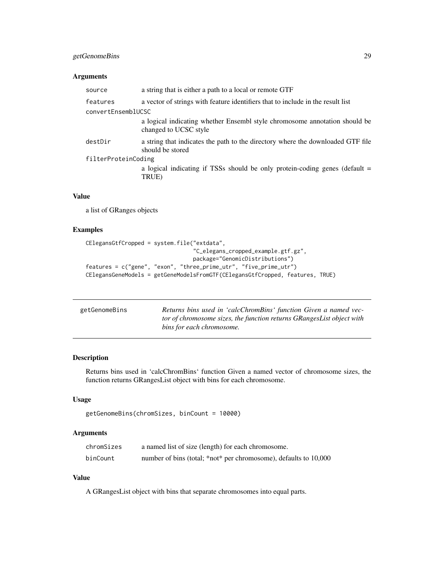## <span id="page-28-0"></span>getGenomeBins 29

## Arguments

| a string that is either a path to a local or remote GTF                                             |  |
|-----------------------------------------------------------------------------------------------------|--|
| a vector of strings with feature identifiers that to include in the result list                     |  |
| convertEnsemblUCSC                                                                                  |  |
| a logical indicating whether Ensembl style chromosome annotation should be<br>changed to UCSC style |  |
| a string that indicates the path to the directory where the downloaded GTF file<br>should be stored |  |
| filterProteinCoding                                                                                 |  |
| a logical indicating if TSSs should be only protein-coding genes (default =<br>TRUE)                |  |
|                                                                                                     |  |

## Value

a list of GRanges objects

#### Examples

```
CElegansGtfCropped = system.file("extdata",
                                 "C_elegans_cropped_example.gtf.gz",
                                 package="GenomicDistributions")
features = c("gene", "exon", "three_prime_utr", "five_prime_utr")
CElegansGeneModels = getGeneModelsFromGTF(CElegansGtfCropped, features, TRUE)
```

| getGenomeBins | Returns bins used in 'calcChromBins' function Given a named vec-      |
|---------------|-----------------------------------------------------------------------|
|               | tor of chromosome sizes, the function returns GRangesList object with |
|               | bins for each chromosome.                                             |

## Description

Returns bins used in 'calcChromBins' function Given a named vector of chromosome sizes, the function returns GRangesList object with bins for each chromosome.

## Usage

```
getGenomeBins(chromSizes, binCount = 10000)
```
## Arguments

| chromSizes | a named list of size (length) for each chromosome.               |
|------------|------------------------------------------------------------------|
| binCount   | number of bins (total; *not* per chromosome), defaults to 10,000 |

## Value

A GRangesList object with bins that separate chromosomes into equal parts.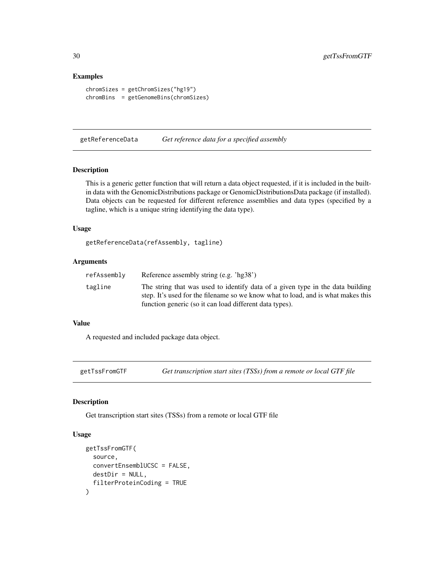#### Examples

```
chromSizes = getChromSizes("hg19")
chromBins = getGenomeBins(chromSizes)
```
getReferenceData *Get reference data for a specified assembly*

#### Description

This is a generic getter function that will return a data object requested, if it is included in the builtin data with the GenomicDistributions package or GenomicDistributionsData package (if installed). Data objects can be requested for different reference assemblies and data types (specified by a tagline, which is a unique string identifying the data type).

## Usage

getReferenceData(refAssembly, tagline)

#### Arguments

| refAssembly | Reference assembly string (e.g. 'hg38')                                                                                                                                                                                       |
|-------------|-------------------------------------------------------------------------------------------------------------------------------------------------------------------------------------------------------------------------------|
| tagline     | The string that was used to identify data of a given type in the data building<br>step. It's used for the filename so we know what to load, and is what makes this<br>function generic (so it can load different data types). |
|             |                                                                                                                                                                                                                               |

## Value

A requested and included package data object.

getTssFromGTF *Get transcription start sites (TSSs) from a remote or local GTF file*

## Description

Get transcription start sites (TSSs) from a remote or local GTF file

```
getTssFromGTF(
  source,
  convertEnsemblUCSC = FALSE,
  destDir = NULL,
  filterProteinCoding = TRUE
)
```
<span id="page-29-0"></span>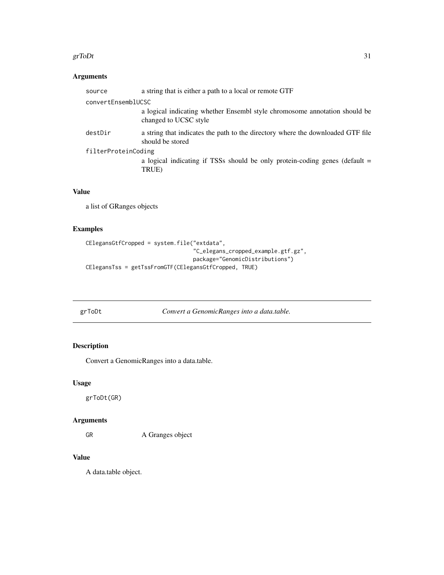#### <span id="page-30-0"></span>grToDt  $31$

## Arguments

|                     | source  | a string that is either a path to a local or remote GTF                                             |
|---------------------|---------|-----------------------------------------------------------------------------------------------------|
| convertEnsemblUCSC  |         |                                                                                                     |
|                     |         | a logical indicating whether Ensembl style chromosome annotation should be<br>changed to UCSC style |
|                     | destDir | a string that indicates the path to the directory where the downloaded GTF file<br>should be stored |
| filterProteinCoding |         |                                                                                                     |
|                     |         | a logical indicating if TSSs should be only protein-coding genes (default =<br>TRUE)                |
|                     |         |                                                                                                     |

## Value

a list of GRanges objects

## Examples

```
CElegansGtfCropped = system.file("extdata",
                                 "C_elegans_cropped_example.gtf.gz",
                                 package="GenomicDistributions")
CElegansTss = getTssFromGTF(CElegansGtfCropped, TRUE)
```
grToDt *Convert a GenomicRanges into a data.table.*

## Description

Convert a GenomicRanges into a data.table.

## Usage

grToDt(GR)

## Arguments

GR A Granges object

## Value

A data.table object.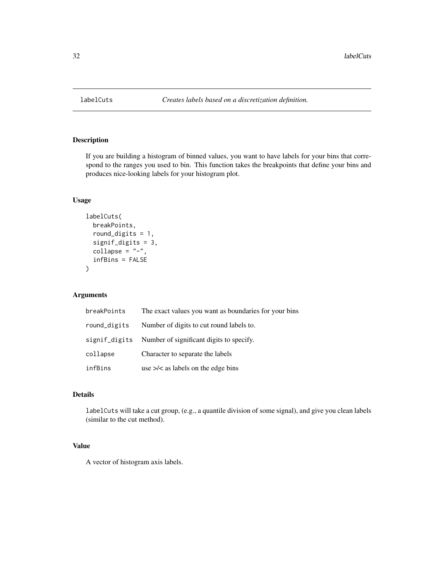<span id="page-31-0"></span>

## Description

If you are building a histogram of binned values, you want to have labels for your bins that correspond to the ranges you used to bin. This function takes the breakpoints that define your bins and produces nice-looking labels for your histogram plot.

## Usage

```
labelCuts(
  breakPoints,
  round_digits = 1,
  signif_digits = 3,
  collapse = "-",
  infBins = FALSE
)
```
## Arguments

| breakPoints   | The exact values you want as boundaries for your bins |
|---------------|-------------------------------------------------------|
| round_digits  | Number of digits to cut round labels to.              |
| signif_digits | Number of significant digits to specify.              |
| collapse      | Character to separate the labels                      |
| infBins       | use $\ge$ /< as labels on the edge bins               |

#### Details

labelCuts will take a cut group, (e.g., a quantile division of some signal), and give you clean labels (similar to the cut method).

#### Value

A vector of histogram axis labels.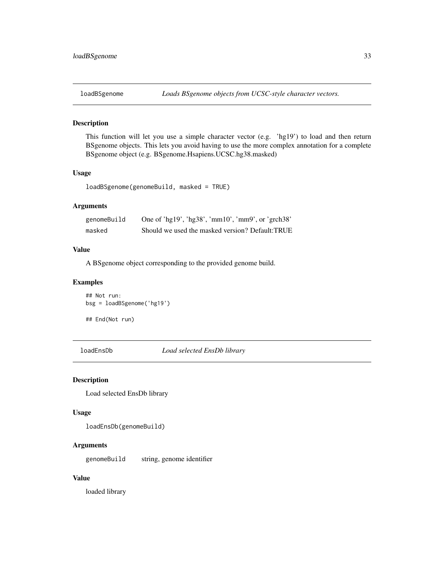<span id="page-32-0"></span>

## Description

This function will let you use a simple character vector (e.g. 'hg19') to load and then return BSgenome objects. This lets you avoid having to use the more complex annotation for a complete BSgenome object (e.g. BSgenome.Hsapiens.UCSC.hg38.masked)

#### Usage

```
loadBSgenome(genomeBuild, masked = TRUE)
```
## Arguments

| genomeBuild | One of 'hg $19'$ , 'hg $38'$ , 'mm $10'$ , 'mm $9'$ , or 'grch $38'$ |
|-------------|----------------------------------------------------------------------|
| masked      | Should we used the masked version? Default: TRUE                     |

#### Value

A BSgenome object corresponding to the provided genome build.

#### Examples

```
## Not run:
bsg = loadBSgenome('hg19')
## End(Not run)
```
loadEnsDb *Load selected EnsDb library*

#### Description

Load selected EnsDb library

#### Usage

loadEnsDb(genomeBuild)

## Arguments

genomeBuild string, genome identifier

## Value

loaded library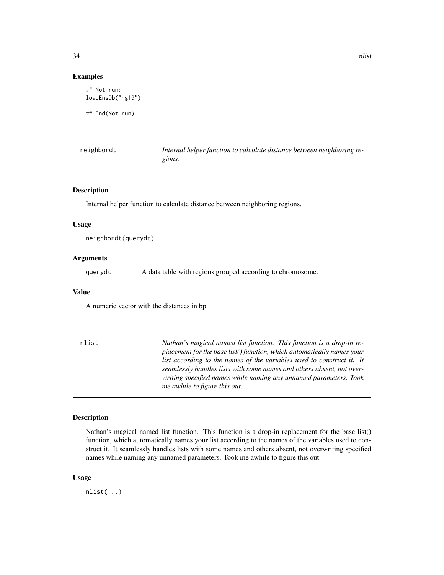<span id="page-33-0"></span>## Not run: loadEnsDb("hg19")

## End(Not run)

| neighbordt | Internal helper function to calculate distance between neighboring re- |
|------------|------------------------------------------------------------------------|
|            | gions.                                                                 |

#### Description

Internal helper function to calculate distance between neighboring regions.

#### Usage

neighbordt(querydt)

#### Arguments

querydt A data table with regions grouped according to chromosome.

#### Value

A numeric vector with the distances in bp

nlist *Nathan's magical named list function. This function is a drop-in replacement for the base list() function, which automatically names your list according to the names of the variables used to construct it. It seamlessly handles lists with some names and others absent, not overwriting specified names while naming any unnamed parameters. Took me awhile to figure this out.*

#### Description

Nathan's magical named list function. This function is a drop-in replacement for the base list() function, which automatically names your list according to the names of the variables used to construct it. It seamlessly handles lists with some names and others absent, not overwriting specified names while naming any unnamed parameters. Took me awhile to figure this out.

#### Usage

nlist(...)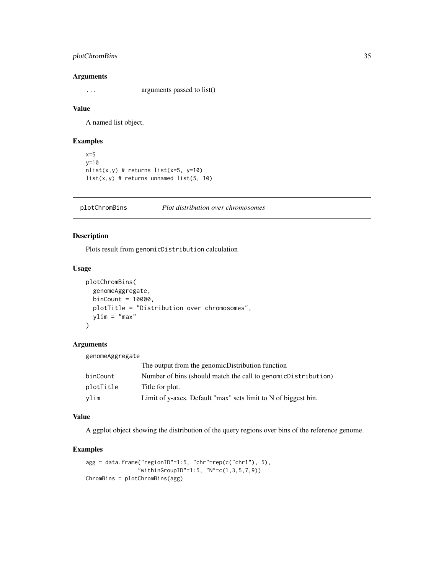## <span id="page-34-0"></span>plotChromBins 35

#### Arguments

... arguments passed to list()

#### Value

A named list object.

#### Examples

```
x=5y=10
nlist(x,y) # returns list(x=5, y=10)list(x, y) # returns unnamed list(5, 10)
```
plotChromBins *Plot distribution over chromosomes*

## Description

Plots result from genomicDistribution calculation

#### Usage

```
plotChromBins(
  genomeAggregate,
  binCount = 10000,
 plotTitle = "Distribution over chromosomes",
 ylim = "max"
)
```
## Arguments

genomeAggregate

|           | The output from the genomic Distribution function                |
|-----------|------------------------------------------------------------------|
| binCount  | Number of bins (should match the call to genomic Distribution)   |
| plotTitle | Title for plot.                                                  |
| vlim      | Limit of y-axes. Default "max" sets limit to $N$ of biggest bin. |

#### Value

A ggplot object showing the distribution of the query regions over bins of the reference genome.

## Examples

```
agg = data.frame("regionID"=1:5, "chr"=rep(c("chr1"), 5),
                "withinGroupID"=1:5, "N"=c(1,3,5,7,9))
ChromBins = plotChromBins(agg)
```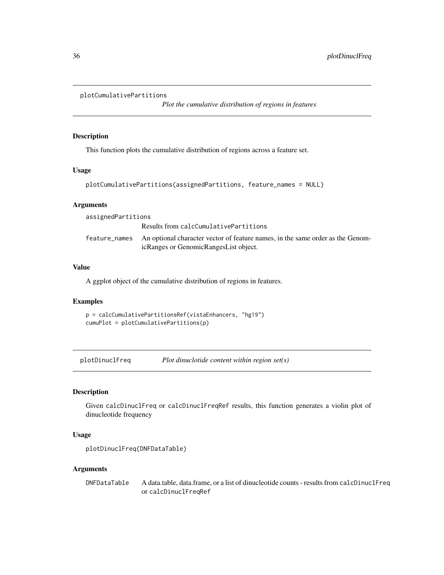```
plotCumulativePartitions
```
*Plot the cumulative distribution of regions in features*

## Description

This function plots the cumulative distribution of regions across a feature set.

## Usage

```
plotCumulativePartitions(assignedPartitions, feature_names = NULL)
```
## Arguments

| assignedPartitions |                                                                                                                                       |
|--------------------|---------------------------------------------------------------------------------------------------------------------------------------|
|                    | Results from calcCumulativePartitions                                                                                                 |
|                    | feature_names An optional character vector of feature names, in the same order as the Genom-<br>icRanges or GenomicRangesList object. |

## Value

A ggplot object of the cumulative distribution of regions in features.

#### Examples

p = calcCumulativePartitionsRef(vistaEnhancers, "hg19") cumuPlot = plotCumulativePartitions(p)

plotDinuclFreq *Plot dinuclotide content within region set(s)*

## Description

Given calcDinuclFreq or calcDinuclFreqRef results, this function generates a violin plot of dinucleotide frequency

## Usage

```
plotDinuclFreq(DNFDataTable)
```
#### Arguments

DNFDataTable A data.table, data.frame, or a list of dinucleotide counts - results from calcDinuclFreq or calcDinuclFreqRef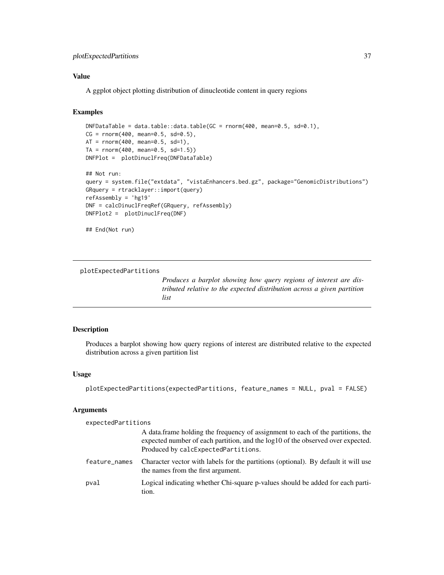## <span id="page-36-0"></span>plotExpectedPartitions 37

## Value

A ggplot object plotting distribution of dinucleotide content in query regions

## Examples

```
DNFDataTable = data.table::data.table(GC = rnorm(400, mean=0.5, sd=0.1),
CG = rnorm(400, mean=0.5, sd=0.5),
AT = rnorm(400, mean=0.5, sd=1),TA = rnorm(400, mean=0.5, sd=1.5)DNFPlot = plotDinuclFreq(DNFDataTable)
## Not run:
query = system.file("extdata", "vistaEnhancers.bed.gz", package="GenomicDistributions")
GRquery = rtracklayer::import(query)
refAssembly = 'hg19'
DNF = calcDinuclFreqRef(GRquery, refAssembly)
DNFPlot2 = plotDinuclFreq(DNF)
## End(Not run)
```
plotExpectedPartitions

*Produces a barplot showing how query regions of interest are distributed relative to the expected distribution across a given partition list*

#### Description

Produces a barplot showing how query regions of interest are distributed relative to the expected distribution across a given partition list

#### Usage

```
plotExpectedPartitions(expectedPartitions, feature_names = NULL, pval = FALSE)
```
#### Arguments

expectedPartitions

|               | A data frame holding the frequency of assignment to each of the partitions, the<br>expected number of each partition, and the log10 of the observed over expected.<br>Produced by calcExpectedPartitions. |
|---------------|-----------------------------------------------------------------------------------------------------------------------------------------------------------------------------------------------------------|
| feature_names | Character vector with labels for the partitions (optional). By default it will use<br>the names from the first argument.                                                                                  |
| pval          | Logical indicating whether Chi-square p-values should be added for each parti-<br>tion.                                                                                                                   |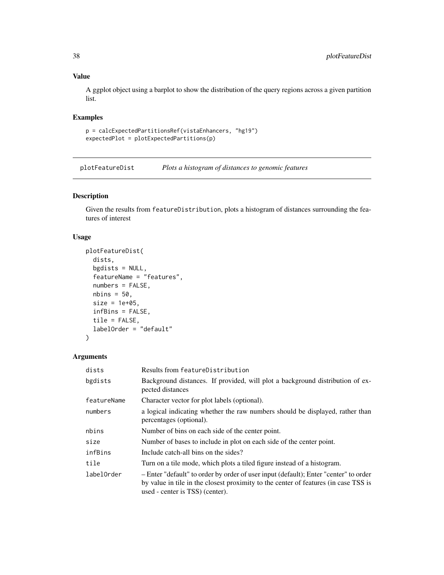## Value

A ggplot object using a barplot to show the distribution of the query regions across a given partition list.

#### Examples

```
p = calcExpectedPartitionsRef(vistaEnhancers, "hg19")
expectedPlot = plotExpectedPartitions(p)
```
plotFeatureDist *Plots a histogram of distances to genomic features*

## Description

Given the results from featureDistribution, plots a histogram of distances surrounding the features of interest

## Usage

```
plotFeatureDist(
  dists,
  bgdists = NULL,
  featureName = "features",
  numbers = FALSE,
 nbins = 50,
  size = 1e+05,
  infBins = FALSE,
  tile = FALSE,
 labelOrder = "default"
\lambda
```
#### Arguments

| dists       | Results from featureDistribution                                                                                                                                                                               |  |
|-------------|----------------------------------------------------------------------------------------------------------------------------------------------------------------------------------------------------------------|--|
| bgdists     | Background distances. If provided, will plot a background distribution of ex-<br>pected distances                                                                                                              |  |
| featureName | Character vector for plot labels (optional).                                                                                                                                                                   |  |
| numbers     | a logical indicating whether the raw numbers should be displayed, rather than<br>percentages (optional).                                                                                                       |  |
| nbins       | Number of bins on each side of the center point.                                                                                                                                                               |  |
| size        | Number of bases to include in plot on each side of the center point.                                                                                                                                           |  |
| infBins     | Include catch-all bins on the sides?                                                                                                                                                                           |  |
| tile        | Turn on a tile mode, which plots a tiled figure instead of a histogram.                                                                                                                                        |  |
| labelOrder  | - Enter "default" to order by order of user input (default); Enter "center" to order<br>by value in tile in the closest proximity to the center of features (in case TSS is<br>used - center is TSS) (center). |  |

<span id="page-37-0"></span>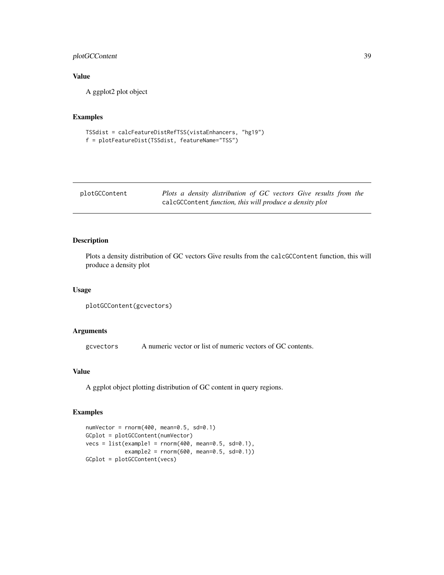## <span id="page-38-0"></span>plotGCContent 39

## Value

A ggplot2 plot object

## Examples

```
TSSdist = calcFeatureDistRefTSS(vistaEnhancers, "hg19")
f = plotFeatureDist(TSSdist, featureName="TSS")
```

| plotGCContent | Plots a density distribution of GC vectors Give results from the |
|---------------|------------------------------------------------------------------|
|               | calcGCContent function, this will produce a density plot         |

## Description

Plots a density distribution of GC vectors Give results from the calcGCContent function, this will produce a density plot

#### Usage

```
plotGCContent(gcvectors)
```
## Arguments

gcvectors A numeric vector or list of numeric vectors of GC contents.

## Value

A ggplot object plotting distribution of GC content in query regions.

## Examples

```
numVector = rnorm(400, mean=0.5, sd=0.1)
GCplot = plotGCContent(numVector)
vecs = list(example1 = rnorm(400, mean=0.5, sd=0.1),example2 = rnorm(600, mean=0.5, sd=0.1))
GCplot = plotGCContent(vecs)
```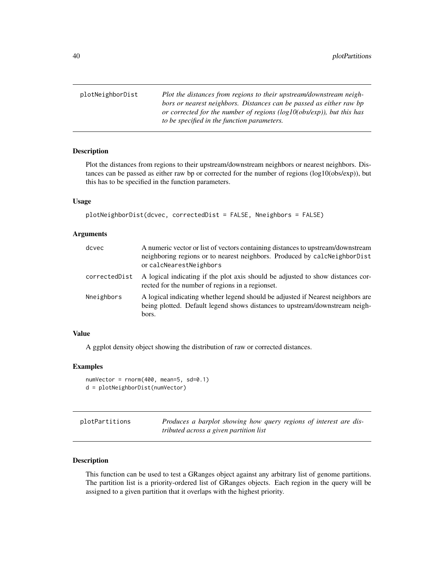<span id="page-39-0"></span>plotNeighborDist *Plot the distances from regions to their upstream/downstream neighbors or nearest neighbors. Distances can be passed as either raw bp or corrected for the number of regions (log10(obs/exp)), but this has to be specified in the function parameters.*

#### Description

Plot the distances from regions to their upstream/downstream neighbors or nearest neighbors. Distances can be passed as either raw bp or corrected for the number of regions (log10(obs/exp)), but this has to be specified in the function parameters.

#### Usage

```
plotNeighborDist(dcvec, correctedDist = FALSE, Nneighbors = FALSE)
```
#### **Arguments**

| dcvec         | A numeric vector or list of vectors containing distances to upstream/downstream<br>neighboring regions or to nearest neighbors. Produced by calcNeighborDist<br>or calcNearestNeighbors |
|---------------|-----------------------------------------------------------------------------------------------------------------------------------------------------------------------------------------|
| correctedDist | A logical indicating if the plot axis should be adjusted to show distances cor-<br>rected for the number of regions in a regionset.                                                     |
| Nneighbors    | A logical indicating whether legend should be adjusted if Nearest neighbors are<br>being plotted. Default legend shows distances to upstream/downstream neigh-<br>bors.                 |

#### Value

A ggplot density object showing the distribution of raw or corrected distances.

#### Examples

```
numVector = rnorm(400, mean=5, sd=0.1)
d = plotNeighborDist(numVector)
```

| plotPartitions | Produces a barplot showing how query regions of interest are dis- |
|----------------|-------------------------------------------------------------------|
|                | tributed across a given partition list                            |

## Description

This function can be used to test a GRanges object against any arbitrary list of genome partitions. The partition list is a priority-ordered list of GRanges objects. Each region in the query will be assigned to a given partition that it overlaps with the highest priority.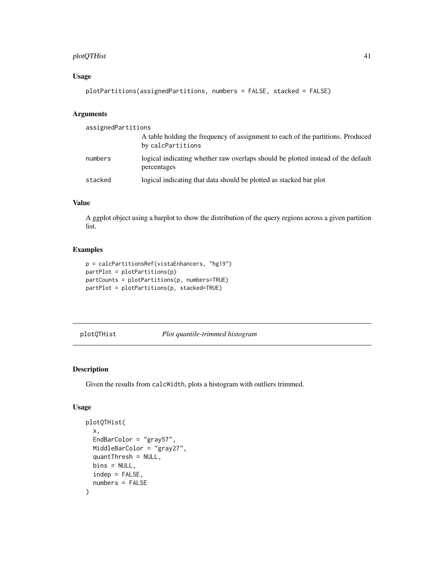## <span id="page-40-0"></span>plotQTHist 41

## Usage

```
plotPartitions(assignedPartitions, numbers = FALSE, stacked = FALSE)
```
## Arguments

| assignedPartitions |                                                                                                      |
|--------------------|------------------------------------------------------------------------------------------------------|
|                    | A table holding the frequency of assignment to each of the partitions. Produced<br>by calcPartitions |
| numbers            | logical indicating whether raw overlaps should be plotted instead of the default<br>percentages      |
| stacked            | logical indicating that data should be plotted as stacked bar plot                                   |

## Value

A ggplot object using a barplot to show the distribution of the query regions across a given partition list.

## Examples

```
p = calcPartitionsRef(vistaEnhancers, "hg19")
partPlot = plotPartitions(p)
partCounts = plotPartitions(p, numbers=TRUE)
partPlot = plotPartitions(p, stacked=TRUE)
```
plotQTHist *Plot quantile-trimmed histogram*

#### Description

Given the results from calcWidth, plots a histogram with outliers trimmed.

```
plotQTHist(
  x,
 EndBarColor = "gray57",
 MiddleBarColor = "gray27",
  quantThresh = NULL,
 bins = NULL,
  indep = FALSE,
  numbers = FALSE
)
```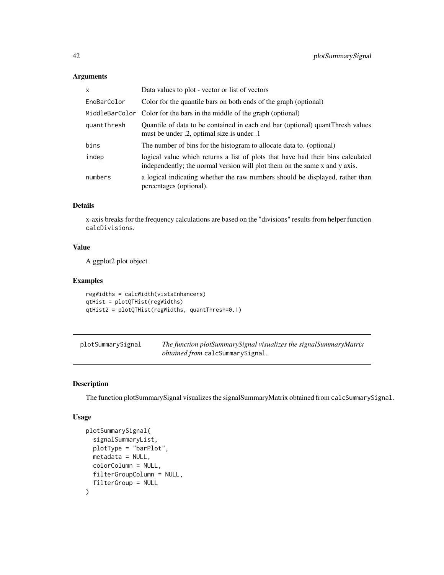| x           | Data values to plot - vector or list of vectors                                                                                                               |
|-------------|---------------------------------------------------------------------------------------------------------------------------------------------------------------|
| EndBarColor | Color for the quantile bars on both ends of the graph (optional)                                                                                              |
|             | MiddleBarColor Color for the bars in the middle of the graph (optional)                                                                                       |
| quantThresh | Quantile of data to be contained in each end bar (optional) quant Thresh values<br>must be under .2, optimal size is under .1                                 |
| bins        | The number of bins for the histogram to allocate data to. (optional)                                                                                          |
| indep       | logical value which returns a list of plots that have had their bins calculated<br>independently; the normal version will plot them on the same x and y axis. |
| numbers     | a logical indicating whether the raw numbers should be displayed, rather than<br>percentages (optional).                                                      |

## Details

x-axis breaks for the frequency calculations are based on the "divisions" results from helper function calcDivisions.

## Value

A ggplot2 plot object

## Examples

```
regWidths = calcWidth(vistaEnhancers)
qtHist = plotQTHist(regWidths)
qtHist2 = plotQTHist(regWidths, quantThresh=0.1)
```
plotSummarySignal *The function plotSummarySignal visualizes the signalSummaryMatrix obtained from* calcSummarySignal*.*

## Description

The function plotSummarySignal visualizes the signalSummaryMatrix obtained from calcSummarySignal.

```
plotSummarySignal(
  signalSummaryList,
 plotType = "barPlot",
 metadata = NULL,
 colorColumn = NULL,
 filterGroupColumn = NULL,
  filterGroup = NULL
\mathcal{E}
```
<span id="page-41-0"></span>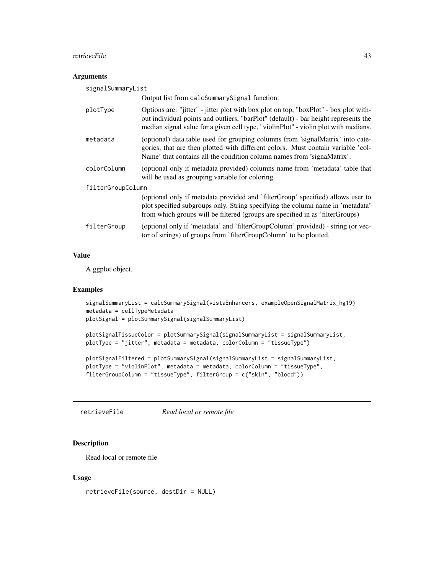#### <span id="page-42-0"></span>retrieveFile 43

## Arguments

| signalSummaryList |                                                                                                                                                                                                                                                                    |  |
|-------------------|--------------------------------------------------------------------------------------------------------------------------------------------------------------------------------------------------------------------------------------------------------------------|--|
|                   | Output list from calcSummarySignal function.                                                                                                                                                                                                                       |  |
| plotType          | Options are: "jitter" - jitter plot with box plot on top, "boxPlot" - box plot with-<br>out individual points and outliers, "barPlot" (default) - bar height represents the<br>median signal value for a given cell type, "violinPlot" - violin plot with medians. |  |
| metadata          | (optional) data.table used for grouping columns from 'signalMatrix' into cate-<br>gories, that are then plotted with different colors. Must contain variable 'col-<br>Name' that contains all the condition column names from 'signaMatrix'.                       |  |
| colorColumn       | (optional only if metadata provided) columns name from 'metadata' table that<br>will be used as grouping variable for coloring.                                                                                                                                    |  |
| filterGroupColumn |                                                                                                                                                                                                                                                                    |  |
|                   | (optional only if metadata provided and 'filterGroup' specified) allows user to<br>plot specified subgroups only. String specifying the column name in 'metadata'<br>from which groups will be filtered (groups are specified in as 'filterGroups)                 |  |
| filterGroup       | (optional only if 'metadata' and 'filterGroupColumn' provided) - string (or vec-<br>tor of strings) of groups from 'filterGroupColumn' to be plotted.                                                                                                              |  |

## Value

A ggplot object.

#### Examples

```
signalSummaryList = calcSummarySignal(vistaEnhancers, exampleOpenSignalMatrix_hg19)
metadata = cellTypeMetadata
plotSignal = plotSummarySignal(signalSummaryList)
```

```
plotSignalTissueColor = plotSummarySignal(signalSummaryList = signalSummaryList,
plotType = "jitter", metadata = metadata, colorColumn = "tissueType")
```

```
plotSignalFiltered = plotSummarySignal(signalSummaryList = signalSummaryList,
plotType = "violinPlot", metadata = metadata, colorColumn = "tissueType",
filterGroupColumn = "tissueType", filterGroup = c("skin", "blood"))
```
retrieveFile *Read local or remote file*

## Description

Read local or remote file

```
retrieveFile(source, destDir = NULL)
```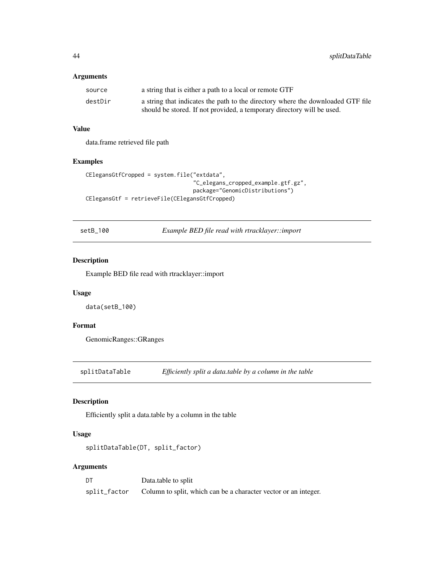<span id="page-43-0"></span>

| source  | a string that is either a path to a local or remote GTF                         |
|---------|---------------------------------------------------------------------------------|
| destDir | a string that indicates the path to the directory where the downloaded GTF file |
|         | should be stored. If not provided, a temporary directory will be used.          |

## Value

data.frame retrieved file path

## Examples

```
CElegansGtfCropped = system.file("extdata",
                                 "C_elegans_cropped_example.gtf.gz",
                                 package="GenomicDistributions")
CElegansGtf = retrieveFile(CElegansGtfCropped)
```
setB\_100 *Example BED file read with rtracklayer::import*

#### Description

Example BED file read with rtracklayer::import

#### Usage

data(setB\_100)

## Format

GenomicRanges::GRanges

splitDataTable *Efficiently split a data.table by a column in the table*

## Description

Efficiently split a data.table by a column in the table

## Usage

```
splitDataTable(DT, split_factor)
```
## Arguments

| DT           | Data.table to split                                             |
|--------------|-----------------------------------------------------------------|
| split_factor | Column to split, which can be a character vector or an integer. |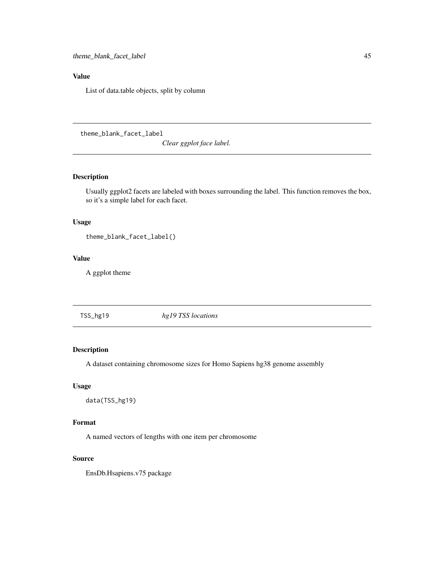## <span id="page-44-0"></span>Value

List of data.table objects, split by column

theme\_blank\_facet\_label

*Clear ggplot face label.*

## Description

Usually ggplot2 facets are labeled with boxes surrounding the label. This function removes the box, so it's a simple label for each facet.

#### Usage

theme\_blank\_facet\_label()

#### Value

A ggplot theme

TSS\_hg19 *hg19 TSS locations*

## Description

A dataset containing chromosome sizes for Homo Sapiens hg38 genome assembly

## Usage

data(TSS\_hg19)

## Format

A named vectors of lengths with one item per chromosome

#### Source

EnsDb.Hsapiens.v75 package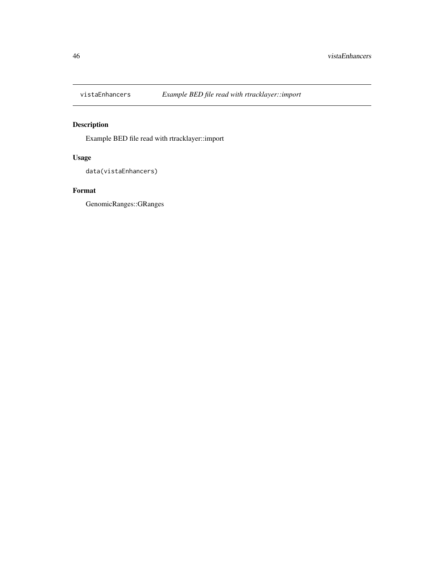<span id="page-45-0"></span>

## Description

Example BED file read with rtracklayer::import

## Usage

```
data(vistaEnhancers)
```
## Format

GenomicRanges::GRanges